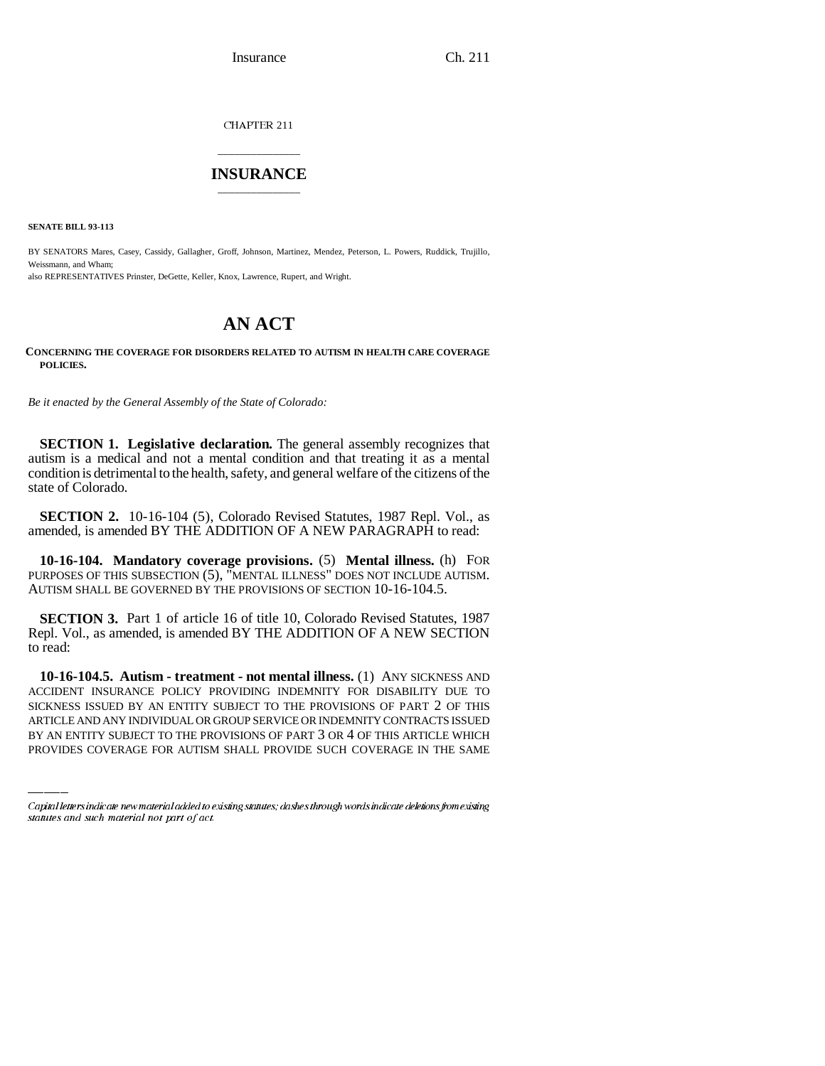Insurance Ch. 211

CHAPTER 211

# \_\_\_\_\_\_\_\_\_\_\_\_\_\_\_ **INSURANCE** \_\_\_\_\_\_\_\_\_\_\_\_\_\_\_

**SENATE BILL 93-113**

BY SENATORS Mares, Casey, Cassidy, Gallagher, Groff, Johnson, Martinez, Mendez, Peterson, L. Powers, Ruddick, Trujillo, Weissmann, and Wham; also REPRESENTATIVES Prinster, DeGette, Keller, Knox, Lawrence, Rupert, and Wright.

# **AN ACT**

### **CONCERNING THE COVERAGE FOR DISORDERS RELATED TO AUTISM IN HEALTH CARE COVERAGE POLICIES.**

*Be it enacted by the General Assembly of the State of Colorado:*

**SECTION 1. Legislative declaration.** The general assembly recognizes that autism is a medical and not a mental condition and that treating it as a mental condition is detrimental to the health, safety, and general welfare of the citizens of the state of Colorado.

**SECTION 2.** 10-16-104 (5), Colorado Revised Statutes, 1987 Repl. Vol., as amended, is amended BY THE ADDITION OF A NEW PARAGRAPH to read:

**10-16-104. Mandatory coverage provisions.** (5) **Mental illness.** (h) FOR PURPOSES OF THIS SUBSECTION (5), "MENTAL ILLNESS" DOES NOT INCLUDE AUTISM. AUTISM SHALL BE GOVERNED BY THE PROVISIONS OF SECTION 10-16-104.5.

**SECTION 3.** Part 1 of article 16 of title 10, Colorado Revised Statutes, 1987 Repl. Vol., as amended, is amended BY THE ADDITION OF A NEW SECTION to read:

ACCIDENT INSURANCE POLICY PROVIDING INDEMNITY FOR DISABILITY DUE TO **10-16-104.5. Autism - treatment - not mental illness.** (1) ANY SICKNESS AND SICKNESS ISSUED BY AN ENTITY SUBJECT TO THE PROVISIONS OF PART 2 OF THIS ARTICLE AND ANY INDIVIDUAL OR GROUP SERVICE OR INDEMNITY CONTRACTS ISSUED BY AN ENTITY SUBJECT TO THE PROVISIONS OF PART 3 OR 4 OF THIS ARTICLE WHICH PROVIDES COVERAGE FOR AUTISM SHALL PROVIDE SUCH COVERAGE IN THE SAME

Capital letters indicate new material added to existing statutes; dashes through words indicate deletions from existing statutes and such material not part of act.